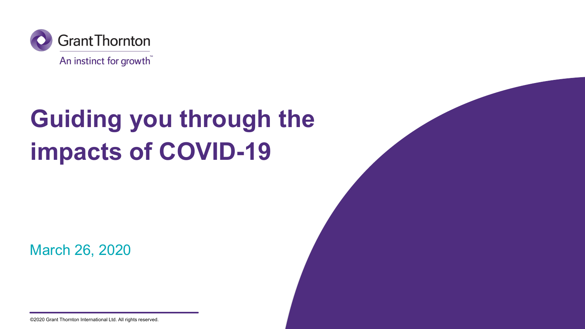

## **Guiding you through the impacts of COVID-19**

March 26, 2020



©2020 Grant Thornton International Ltd. All rights reserved.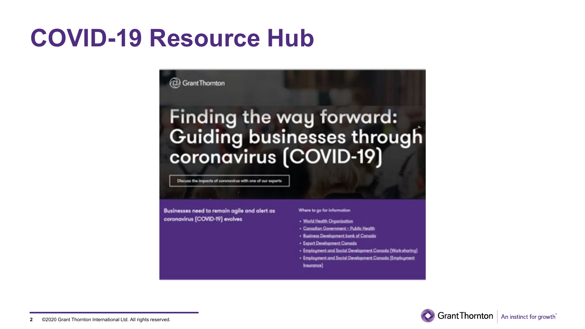### **COVID-19 Resource Hub**

#### **2** Grant Thornton

# Finding the way forward: Guiding businesses through<br>coronavirus (COVID-19)

Discuss the impacts of coronavirus with one of our experts

Businesses need to remain agile and alert as coronavirus [COVID-19] evolves

#### Where to go for information

- · World Health Organization
- · Canadian Government Public Health
- · Business Development bank of Canada
- · Export Development Canada
- · Employment and Social Development Canada (Work-sharing)
- . Employment and Social Development Conado (Employment Insurance)

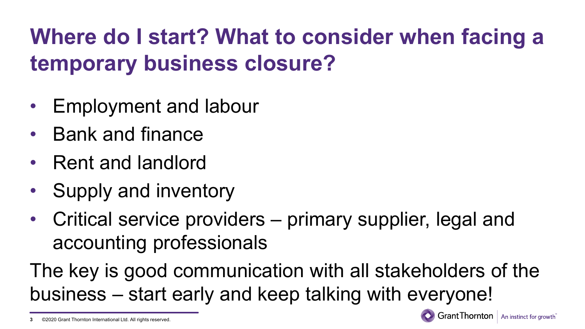### **Where do I start? What to consider when facing a temporary business closure?**

- Employment and labour
- Bank and finance
- Rent and landlord

**3**

- Supply and inventory
- Critical service providers primary supplier, legal and accounting professionals

The key is good communication with all stakeholders of the business – start early and keep talking with everyone!

<sup>©2020</sup> Grant Thornton International Ltd. All rights reserved.

**Grant Thornton** | An instinct for growth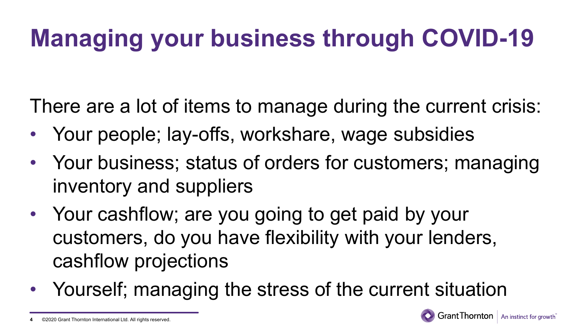## **Managing your business through COVID-19**

There are a lot of items to manage during the current crisis:

- Your people; lay-offs, workshare, wage subsidies
- Your business; status of orders for customers; managing inventory and suppliers
- Your cashflow; are you going to get paid by your customers, do you have flexibility with your lenders, cashflow projections
- Yourself; managing the stress of the current situation



**Grant Thornton** | An instinct for growth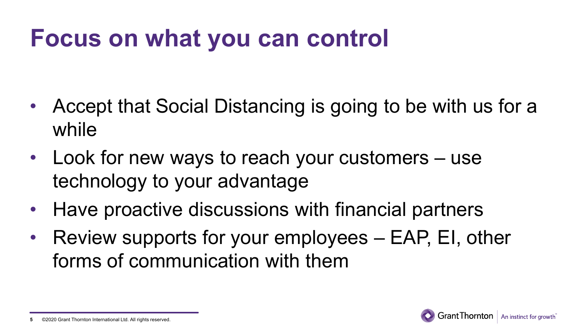## **Focus on what you can control**

- Accept that Social Distancing is going to be with us for a while
- Look for new ways to reach your customers use technology to your advantage
- Have proactive discussions with financial partners
- Review supports for your employees EAP, EI, other forms of communication with them

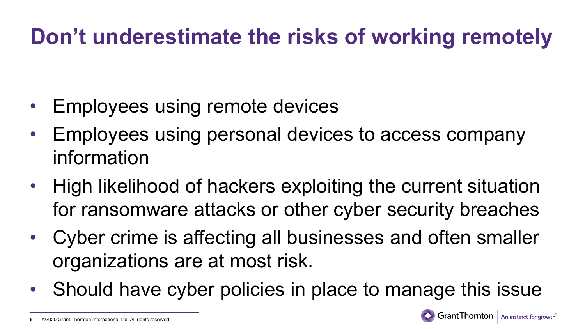#### **Don't underestimate the risks of working remotely**

- Employees using remote devices
- Employees using personal devices to access company information
- High likelihood of hackers exploiting the current situation for ransomware attacks or other cyber security breaches
- Cyber crime is affecting all businesses and often smaller organizations are at most risk.
- Should have cyber policies in place to manage this issue

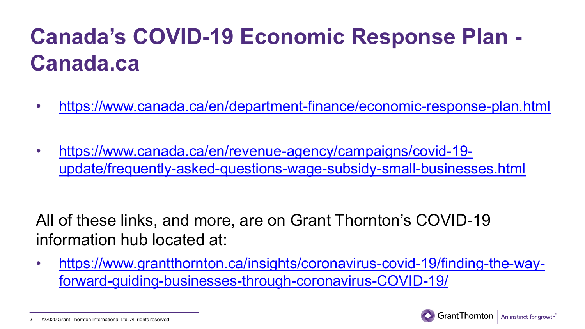- <https://www.canada.ca/en/department-finance/economic-response-plan.html>
- https://www.canada.ca/en/revenue-agency/campaigns/covid-19 [update/frequently-asked-questions-wage-subsidy-small-businesses.html](https://www.canada.ca/en/revenue-agency/campaigns/covid-19-update/frequently-asked-questions-wage-subsidy-small-businesses.html)

All of these links, and more, are on Grant Thornton's COVID-19 information hub located at:

• [https://www.grantthornton.ca/insights/coronavirus-covid-19/finding-the-way](https://www.grantthornton.ca/insights/coronavirus-covid-19/finding-the-way-forward-guiding-businesses-through-coronavirus-COVID-19/)forward-guiding-businesses-through-coronavirus-COVID-19/



<sup>©2020</sup> Grant Thornton International Ltd. All rights reserved. **7**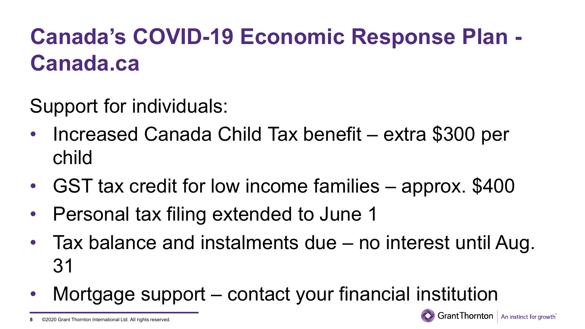Support for individuals:

- Increased Canada Child Tax benefit extra \$300 per child
- GST tax credit for low income families approx. \$400
- Personal tax filing extended to June 1
- Tax balance and instalments due no interest until Aug. 31
- Mortgage support contact your financial institution



©2020 Grant Thornton International Ltd. All rights reserved. **8**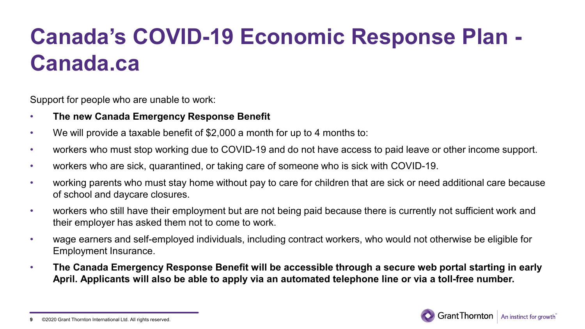Support for people who are unable to work:

- **The new Canada Emergency Response Benefit**
- We will provide a taxable benefit of \$2,000 a month for up to 4 months to:
- workers who must stop working due to COVID-19 and do not have access to paid leave or other income support.
- workers who are sick, quarantined, or taking care of someone who is sick with COVID-19.
- working parents who must stay home without pay to care for children that are sick or need additional care because of school and daycare closures.
- workers who still have their employment but are not being paid because there is currently not sufficient work and their employer has asked them not to come to work.
- wage earners and self-employed individuals, including contract workers, who would not otherwise be eligible for Employment Insurance.
- **The Canada Emergency Response Benefit will be accessible through a secure web portal starting in early April. Applicants will also be able to apply via an automated telephone line or via a toll-free number.**



<sup>©2020</sup> Grant Thornton International Ltd. All rights reserved. **9**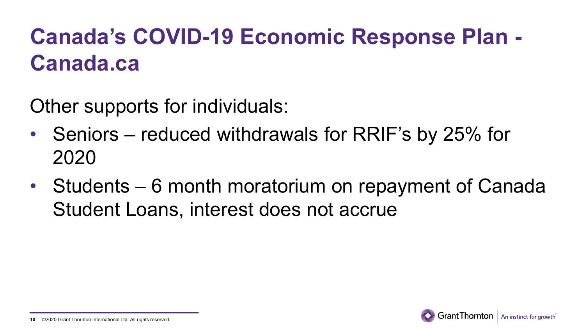Other supports for individuals:

- Seniors reduced withdrawals for RRIF's by 25% for 2020
- Students 6 month moratorium on repayment of Canada Student Loans, interest does not accrue

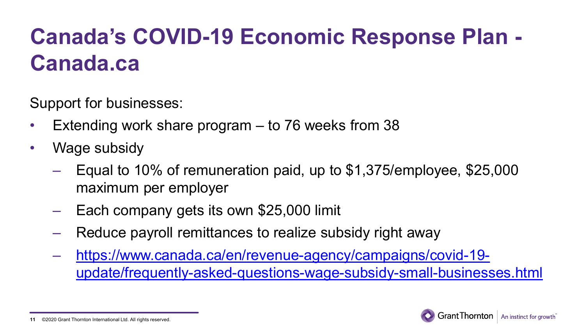Support for businesses:

- Extending work share program  $-$  to 76 weeks from 38
- Wage subsidy
	- Equal to 10% of remuneration paid, up to \$1,375/employee, \$25,000 maximum per employer
	- Each company gets its own \$25,000 limit
	- Reduce payroll remittances to realize subsidy right away
	- https://www.canada.ca/en/revenue-agency/campaigns/covid-19 [update/frequently-asked-questions-wage-subsidy-small-businesses.html](https://www.canada.ca/en/revenue-agency/campaigns/covid-19-update/frequently-asked-questions-wage-subsidy-small-businesses.html)



<sup>©2020</sup> Grant Thornton International Ltd. All rights reserved. **11**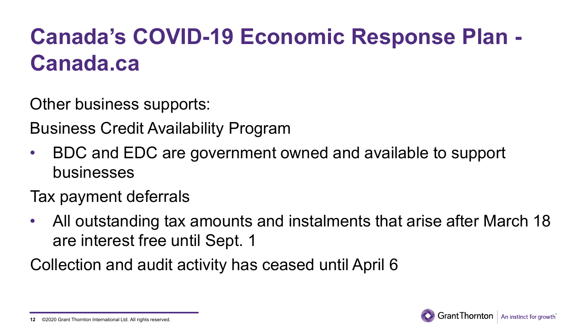Other business supports:

Business Credit Availability Program

- BDC and EDC are government owned and available to support businesses
- Tax payment deferrals
- All outstanding tax amounts and instalments that arise after March 18 are interest free until Sept. 1

Collection and audit activity has ceased until April 6

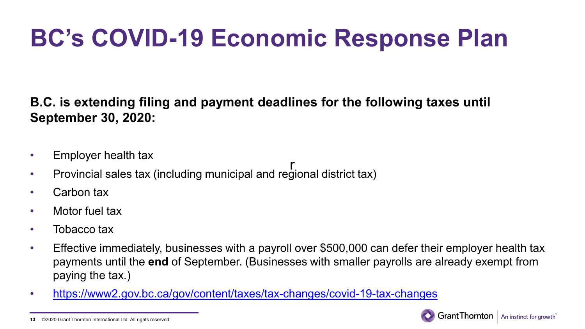## **BC's COVID-19 Economic Response Plan**

**B.C. is extending filing and payment deadlines for the following taxes until September 30, 2020:**

- Employer health tax
- Provincial sales tax (including municipal and regional district tax) r
- Carbon tax
- Motor fuel tax
- Tobacco tax
- Effective immediately, businesses with a payroll over \$500,000 can defer their employer health tax payments until the **end** of September. (Businesses with smaller payrolls are already exempt from paying the tax.)
- [https://www2.gov.bc.ca/gov/content/taxes/tax-changes/covid-19-tax-changes](https://can01.safelinks.protection.outlook.com/?url=https%3A%2F%2Fwww2.gov.bc.ca%2Fgov%2Fcontent%2Ftaxes%2Ftax-changes%2Fcovid-19-tax-changes&data=02%7C01%7CPeter.MacIntosh%40ca.gt.com%7C82b1692f96f6462437dd08d7d1a86e30%7C296ae2296f104f4aa0d6f390ed73d8e3%7C0%7C0%7C637208393636089617&sdata=E9PlOqSye61ePX07O%2FD89Yvn4QW4L8UZkD213UytvHI%3D&reserved=0)



<sup>©2020</sup> Grant Thornton International Ltd. All rights reserved. **13**